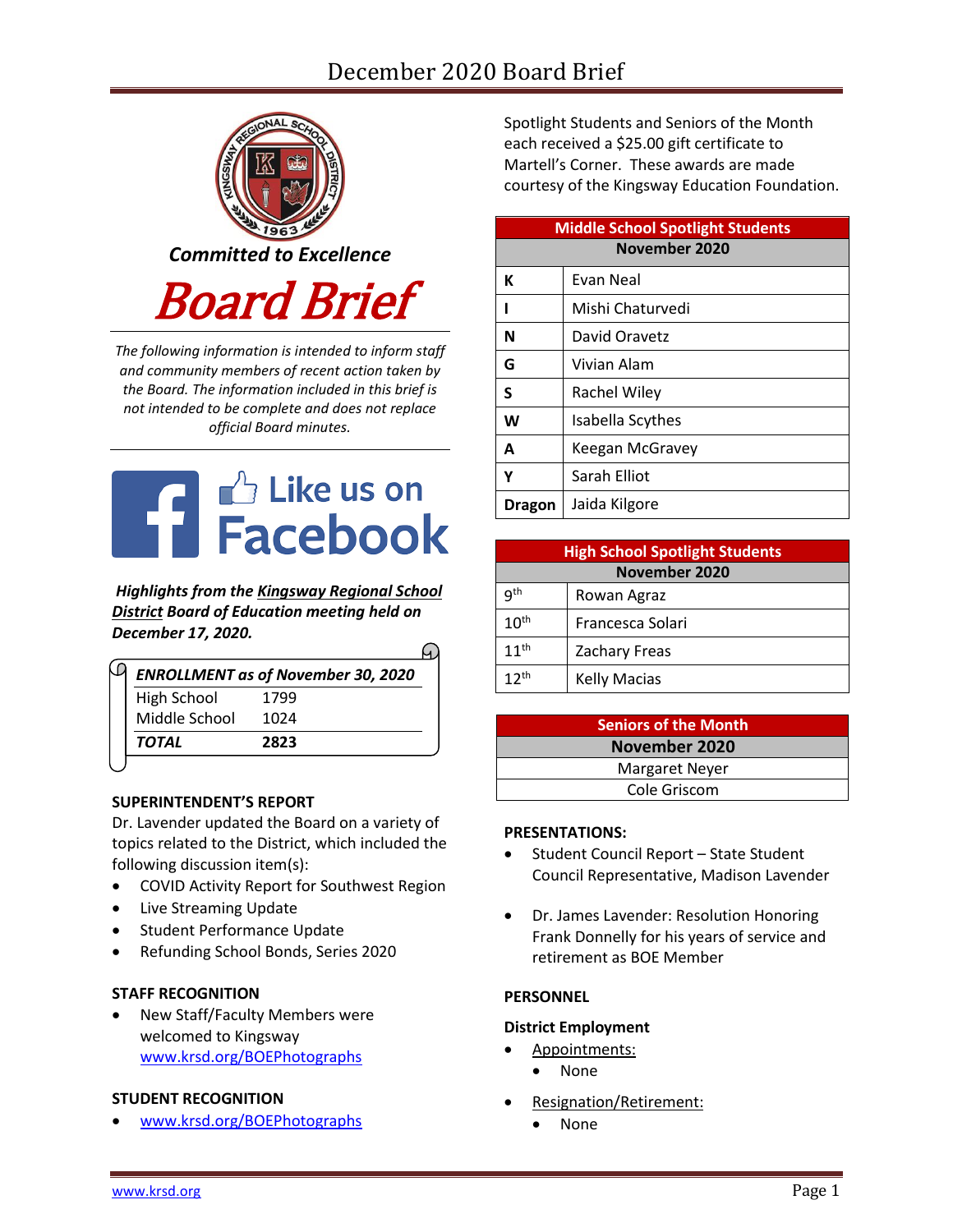# December 2020 Board Brief



*The following information is intended to inform staff and community members of recent action taken by the Board. The information included in this brief is not intended to be complete and does not replace official Board minutes.*



*Highlights from the [Kingsway Regional School](https://www.facebook.com/KingswayDragons)  [District](https://www.facebook.com/KingswayDragons) Board of Education meeting held on December 17, 2020.*

∩

|                                           |      | ---       |                     |
|-------------------------------------------|------|-----------|---------------------|
| <b>ENROLLMENT as of November 30, 2020</b> |      | $12^{th}$ | <b>Kelly Macias</b> |
| High School                               | 1799 |           |                     |
| Middle School                             | 1024 |           | <b>Seniors o</b>    |
| TOTAL                                     | 2823 |           | <b>Noven</b>        |
|                                           |      |           |                     |

#### **SUPERINTENDENT'S REPORT**

Dr. Lavender updated the Board on a variety of topics related to the District, which included the following discussion item(s):

- COVID Activity Report for Southwest Region
- Live Streaming Update
- Student Performance Update
- Refunding School Bonds, Series 2020

#### **STAFF RECOGNITION**

 New Staff/Faculty Members were welcomed to Kingsway [www.krsd.org/BOEPhotographs](https://www.krsd.org/site/default.aspx?PageType=3&ModuleInstanceID=4431&ViewID=94B66785-F3F0-41A8-8414-1E55691D3E9E&RenderLoc=0&FlexDataID=7184&PageID=1303)

## **STUDENT RECOGNITION**

[www.krsd.org/BOEPhotographs](https://www.krsd.org/site/default.aspx?PageType=3&ModuleInstanceID=4414&ViewID=94B66785-F3F0-41A8-8414-1E55691D3E9E&RenderLoc=0&FlexDataID=7183&PageID=1303)

Spotlight Students and Seniors of the Month each received a \$25.00 gift certificate to Martell's Corner. These awards are made courtesy of the Kingsway Education Foundation.

| <b>Middle School Spotlight Students</b> |                  |  |  |  |
|-----------------------------------------|------------------|--|--|--|
| November 2020                           |                  |  |  |  |
| К                                       | Evan Neal        |  |  |  |
|                                         | Mishi Chaturvedi |  |  |  |
| N                                       | David Oravetz    |  |  |  |
| G                                       | Vivian Alam      |  |  |  |
| S                                       | Rachel Wiley     |  |  |  |
| W                                       | Isabella Scythes |  |  |  |
| A                                       | Keegan McGravey  |  |  |  |
| γ                                       | Sarah Elliot     |  |  |  |
| Dragon                                  | Jaida Kilgore    |  |  |  |

| <b>High School Spotlight Students</b> |                      |  |  |  |
|---------------------------------------|----------------------|--|--|--|
| <b>November 2020</b>                  |                      |  |  |  |
| qth                                   | Rowan Agraz          |  |  |  |
| 10 <sup>th</sup>                      | Francesca Solari     |  |  |  |
| $11^{th}$                             | <b>Zachary Freas</b> |  |  |  |
| 12 <sup>th</sup>                      | <b>Kelly Macias</b>  |  |  |  |

| <b>Seniors of the Month</b> |
|-----------------------------|
| November 2020               |
| Margaret Neyer              |
| Cole Griscom                |

#### **PRESENTATIONS:**

- Student Council Report State Student Council Representative, Madison Lavender
- Dr. James Lavender: Resolution Honoring Frank Donnelly for his years of service and retirement as BOE Member

## **PERSONNEL**

#### **District Employment**

- Appointments: None
- 
- Resignation/Retirement:
	- None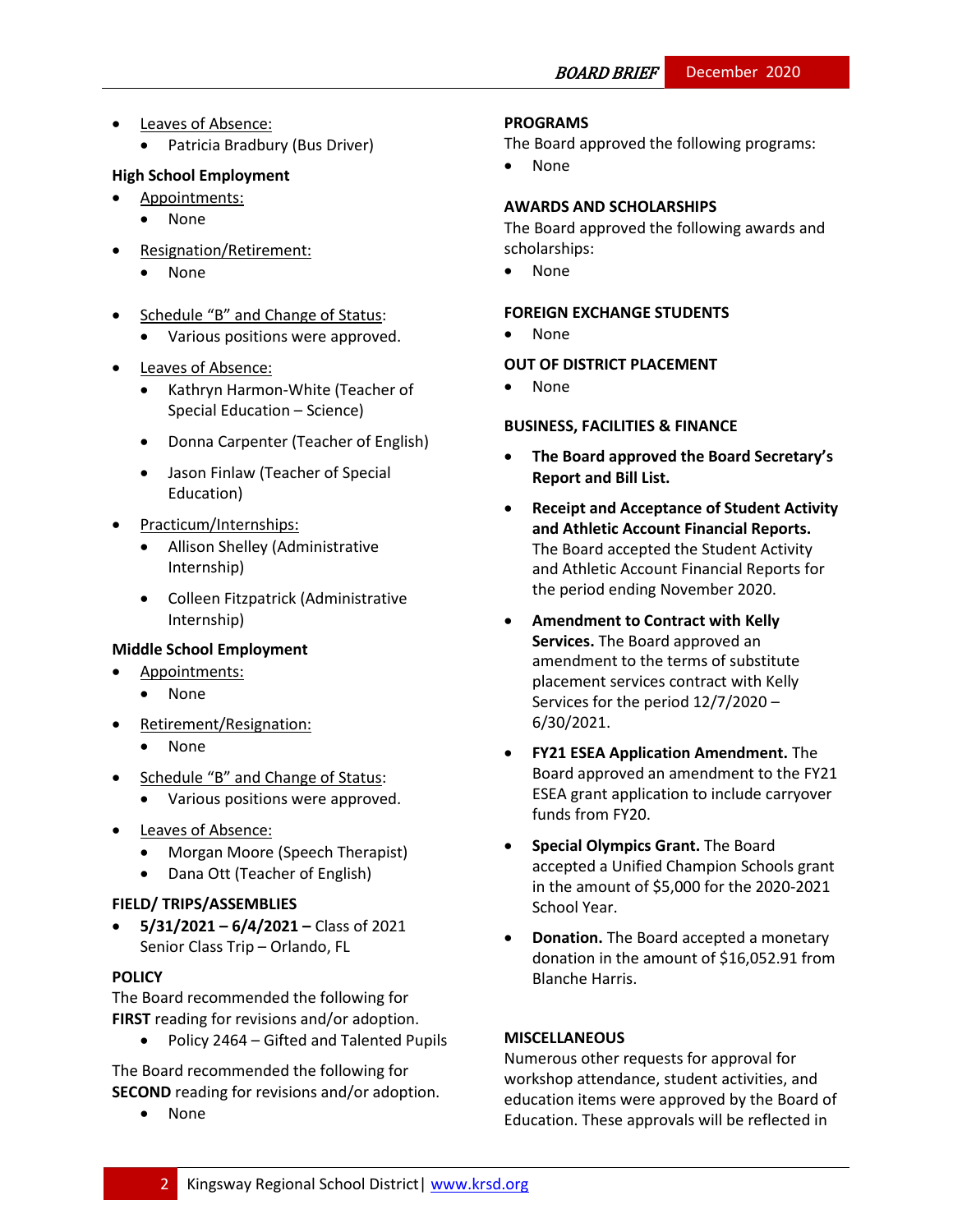- Leaves of Absence:
	- Patricia Bradbury (Bus Driver)

# **High School Employment**

- Appointments:
	- None
- Resignation/Retirement:
	- None
- Schedule "B" and Change of Status:
	- Various positions were approved.
- Leaves of Absence:
	- Kathryn Harmon-White (Teacher of Special Education – Science)
	- Donna Carpenter (Teacher of English)
	- Jason Finlaw (Teacher of Special Education)
- Practicum/Internships:
	- Allison Shelley (Administrative Internship)
	- Colleen Fitzpatrick (Administrative Internship)

## **Middle School Employment**

- Appointments:
	- None
- Retirement/Resignation:
	- None
- Schedule "B" and Change of Status:
	- Various positions were approved.
- Leaves of Absence:
	- Morgan Moore (Speech Therapist)
	- Dana Ott (Teacher of English)

## **FIELD/ TRIPS/ASSEMBLIES**

 **5/31/2021 – 6/4/2021 –** Class of 2021 Senior Class Trip – Orlando, FL

# **[POLICY](http://www.straussesmay.com/seportal/Public/DistrictPolicyTOC.aspx?id=f0cc945ef3894b8d9ad5f87d948ca425&PolicyID=)**

The Board recommended the following for **FIRST** reading for revisions and/or adoption.

Policy 2464 – Gifted and Talented Pupils

The Board recommended the following for **SECOND** reading for revisions and/or adoption.

None

# **PROGRAMS**

The Board approved the following programs:

None

## **AWARDS AND SCHOLARSHIPS**

The Board approved the following awards and scholarships:

None

## **FOREIGN EXCHANGE STUDENTS**

None

# **OUT OF DISTRICT PLACEMENT**

None

# **BUSINESS, FACILITIES & FINANCE**

- **The Board approved the Board Secretary's Report and Bill List.**
- **Receipt and Acceptance of Student Activity and Athletic Account Financial Reports.**  The Board accepted the Student Activity and Athletic Account Financial Reports for the period ending November 2020.
- **Amendment to Contract with Kelly Services.** The Board approved an amendment to the terms of substitute placement services contract with Kelly Services for the period 12/7/2020 – 6/30/2021.
- **FY21 ESEA Application Amendment.** The Board approved an amendment to the FY21 ESEA grant application to include carryover funds from FY20.
- **Special Olympics Grant.** The Board accepted a Unified Champion Schools grant in the amount of \$5,000 for the 2020-2021 School Year.
- **Donation.** The Board accepted a monetary donation in the amount of \$16,052.91 from Blanche Harris.

## **MISCELLANEOUS**

Numerous other requests for approval for workshop attendance, student activities, and education items were approved by the Board of Education. These approvals will be reflected in